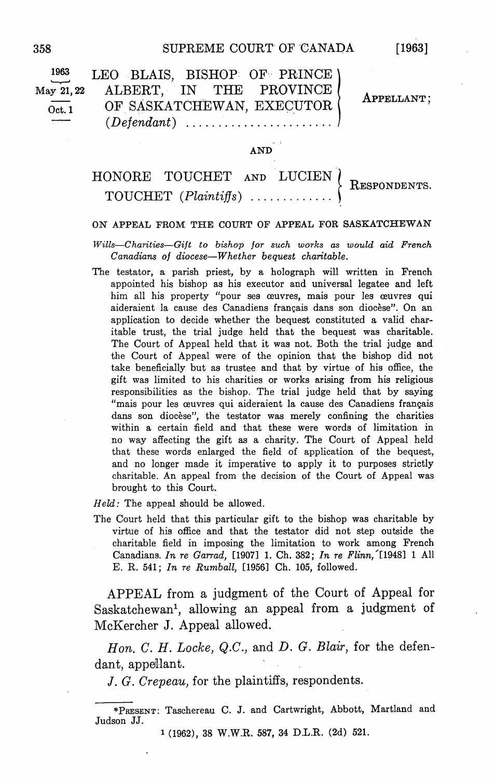| $\frac{1963}{\ }$<br>May 21, 22<br>Oct. 1 | LEO BLAIS, BISHOP OF PRINCE)<br>ALBERT, IN THE PROVINCE<br>OF SASKATCHEWAN, EXECUTOR | APPELLANT; |
|-------------------------------------------|--------------------------------------------------------------------------------------|------------|
|                                           | $-1.46 - 1.$                                                                         |            |

## $HONORE TOUCHET AND LUCIEN \n{ResPONDENT} \n$

## ON APPEAL FROM THE COURT OF APPEAL FOR SASKATCHEWAN

Wills-Charities-Gift to bishop for such works as would aid French Canadians of diocese—Whether bequest charitable.

The testator, a parish priest, by a holograph will written in French appointed his bishop as his executor and universal legatee and left him all his property "pour ses œuvres, mais pour les œuvres qui aideraient la cause des Canadiens français dans son diocèse". On an application to decide whether the bequest constituted a valid charitable trust, the trial judge held that the bequest was charitable. The Court of Appeal held that it was not Both the trial judge and the Court of Appeal were of the opinion that the bishop did not take beneficially but as trustee and that by virtue of his office, the gift was limited to his charities or works arising from his religious responsibilities as the bishop. The trial judge held that by saying "mais pour les œuvres qui aideraient la cause des Canadiens français dans son diocèse", the testator was merely confining the charities within a certain field and that these were words of limitation in no way affecting the gift as charity The Court of Appeal held that these words enlarged the field of application of the bequest and no longer made it imperative to apply it to purposes strictly charitable An appeal from the decision of the Court of Appeal was brought to this Court

 $Held$ : The appeal should be allowed.

The Court held that this particular gift to the bishop was charitable by virtue of his office and that the testator did not step outside the charitable field in imposing the limitation to work among French Canadians. In re Garrad, [1907] 1. Ch. 382; In re Flinn,  $[1948]$  1 All E. R. 541; In re Rumball,  $[1956]$  Ch. 105, followed.

APPEAL from a judgment of the Court of Appeal for Saskatchewan<sup>1</sup>, allowing an appeal from a judgment of McKercher J. Appeal allowed.

Hon. C. H. Locke, Q.C., and D. G. Blair, for the defendant, appellant.

J. G. Crepeau, for the plaintiffs, respondents.

<sup>\*</sup>PRESENT: Taschereau C. J. and Cartwright, Abbott, Martland and Judson JJ

<sup>1 (1962), 38</sup> W.W.R. 587, 34 D.L.R. (2d) 521.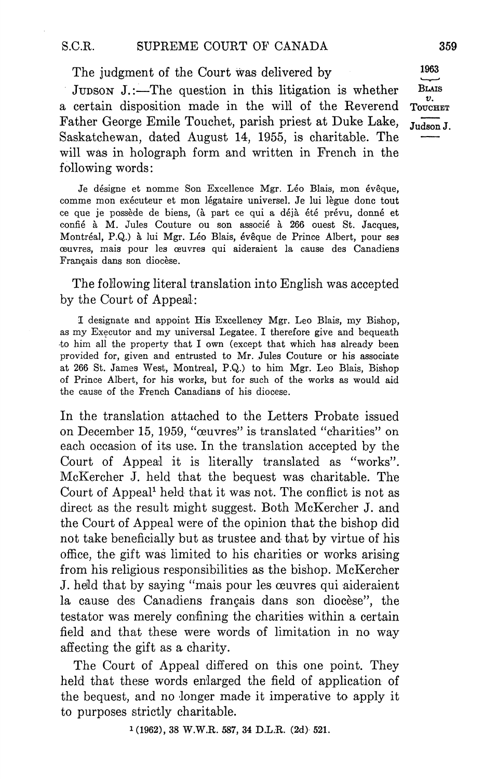The judgment of the Court was delivered by

JUDSON J.:—The question in this litigation is whether BLAIS a certain disposition made in the will of the Reverend Toucher Father George Emile Touchet, parish priest at Duke Lake,  $J_{\text{udson J}}$ . Saskatchewan, dated August 14, 1955, is charitable. The will was in holograph form and written in French in the following words

Je désigne et nomme Son Excellence Mgr. Léo Blais, mon évêque, comme mon exécuteur et mon légataire universel. Je lui lègue donc tout ce que je possède de biens, (à part ce qui a déjà été prévu, donné et confié à M. Jules Couture ou son associé à 266 ouest St. Jacques, Montréal, P.Q.) à lui Mgr. Léo Blais, évêque de Prince Albert, pour ses œuvres, mais pour les œuvres qui aideraient la cause des Canadiens Français dans son diocèse.

The following literal translation into English was accepted by the Court of Appeal

I designate and appoint His Excellency Mgr. Leo Blais, my Bishop, as my Executor and my universal Legatee. I therefore give and bequeath to him all the property that I own (except that which has already been provided for, given and entrusted to Mr. Jules Couture or his associate at 266 St. James West, Montreal, P.Q.) to him Mgr. Leo Blais, Bishop of Prince Albert, for his works, but for such of the works as would aid the cause of the French Canadians of his diocese

In the translation attached to the Letters Probate issued on December 15, 1959, "œuvres" is translated "charities" on each occasion of its use In the translation accepted by the Court of Appeal it is literally translated as "works". McKercher J. held that the bequest was charitable. The Court of Appeal<sup>1</sup> held that it was not. The conflict is not as direct as the result might suggest. Both McKercher J. and the Court of Appeal were of the opinion that the bishop did not take beneficially but as trustee and- that by virtue of his office, the gift was limited to his charities or works arising from his religious responsibilities as the bishop. McKercher J. held that by saying "mais pour les œuvres qui aideraient la cause des Canadiens français dans son diocèse", the testator was merely confining the charities within a certain field and that these were words of limitation in no way affecting the gift as charity

The Court of Appeal differed on this one point. They held that these words enlarged the field of application of the bequest, and no longer made it imperative to apply it to purposes strictly charitable

 $1(1962)$ , 38 W.W.R. 587, 34 D.L.R.  $(2d)$  521.

1963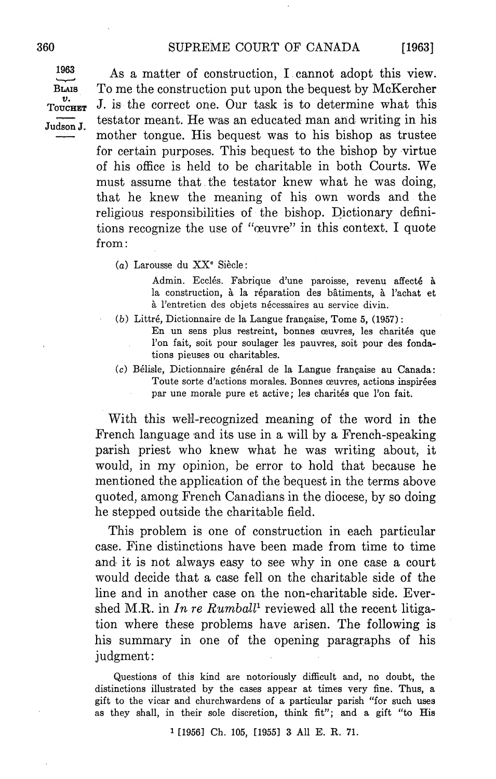$[1963]$ 

Judson J.

 $1963$  As a matter of construction. I cannot adopt this view. BLAIS To me the construction put upon the bequest by McKercher  $\frac{v}{\text{Toverer}}$  J. is the correct one. Our task is to determine what this testator meant. He was an educated man and writing in his mother tongue. His bequest was to his bishop as trustee for certain purposes This bequest to the bishop by virtue of his office is held to be charitable in both Courts We must assume that the testator knew what he was doing that he knew the meaning of his own words and the religious responsibilities of the bishop. Dictionary definitions recognize the use of "œuvre" in this context. I quote from:

(a) Larousse du  $XX^e$  Siècle:

Admin. Ecclés. Fabrique d'une paroisse, revenu affecté à la construction, à la réparation des bâtiments, à l'achat et à l'entretien des objets nécessaires au service divin.

- $(b)$  Littré, Dictionnaire de la Langue française, Tome 5,  $(1957)$ :
	- En un sens plus restreint, bonnes œuvres, les charités que l'on fait, soit pour soulager les pauvres, soit pour des fondations pieuses ou charitables
- (c) Bélisle, Dictionnaire général de la Langue française au Canada: Toute sorte d'actions morales. Bonnes œuvres, actions inspirées par une morale pure et active; les charités que l'on fait.

With this well-recognized meaning of the word in the French language and its use in a will by a French-speaking parish priest who knew what he was writing about, it would, in my opinion, be error to hold that because he mentioned the application of the bequest in the terms above quoted, among French Canadians in the diocese, by so doing he stepped outside the charitable field

This problem is one of construction in each particular case Fine distinctions have been made from time to time and it is not always easy to see why in one case a court would decide that a case fell on the charitable side of the line and in another case on the non-charitable side. Evershed M.R. in In re Rumball<sup>1</sup> reviewed all the recent litigation where these problems have arisen. The following is his summary in one of the opening paragraphs of his judgment

Questions of this kind are notoriously difficult and, no doubt, the distinctions illustrated by the cases appear at times very fine. Thus, a gift to the vicar and churchwardens of a particular parish "for such uses as they shall, in their sole discretion, think fit"; and a gift "to His

<sup>1</sup> [1956] Ch. 105, [1955] 3 All E. R. 71.